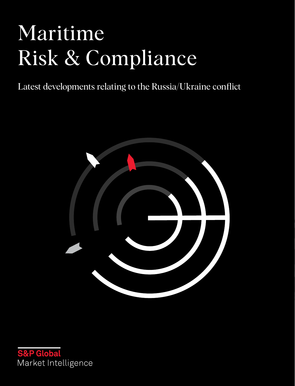# Maritime Risk & Compliance

Latest developments relating to the Russia/Ukraine conflict



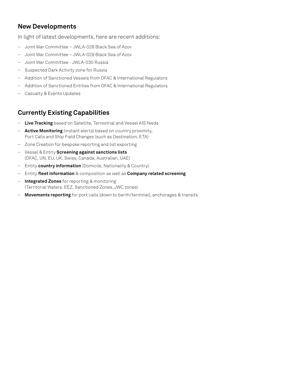# **New Developments**

In light of latest developments, here are recent additions:

- Joint War Committee JWLA-028 Black Sea of Azov
- Joint War Committee JWLA-029 Black Sea of Azov
- Joint War Committee JWLA-030 Russia
- Suspected Dark Activity zone for Russia
- Addition of Sanctioned Vessels from OFAC & International Regulators
- Addition of Sanctioned Entities from OFAC & International Regulators
- Casualty & Events Updates

# **Currently Existing Capabilities**

- **Live Tracking** based on Satellite, Terrestrial and Vessel AIS feeds
- **Active Monitoring** (instant alerts) based on country proximity, Port Calls and Ship Field Changes (such as Destination, ETA)
- Zone Creation for bespoke reporting and list exporting
- Vessel & Entity **Screening against sanctions lists** (OFAC, UN, EU, UK, Swiss, Canada, Australian, UAE)
- Entity **country information** (Domicile, Nationality & Country)
- Entity **fleet information** & composition as well as **Company related screening**
- **Integrated Zones** for reporting & monitoring (Territorial Waters, EEZ, Sanctioned Zones, JWC zones)
- **Movements reporting** for port calls (down to berth/terminal), anchorages & transits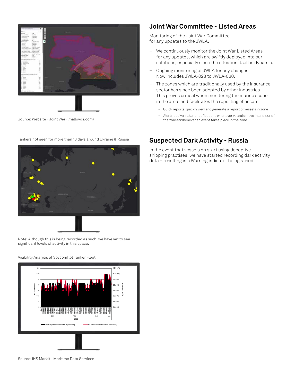



#### Source: Website - Joint War (lmalloyds.com)

### **Joint War Committee - Listed Areas**

Monitoring of the Joint War Committee for any updates to the JWLA.

- We continuously monitor the Joint War Listed Areas for any updates, which are swiftly deployed into our solutions; especially since the situation itself is dynamic.
- Ongoing monitoring of JWLA for any changes. Now includes JWLA-028 to JWLA-030.
- The zones which are traditionally used by the insurance sector has since been adopted by other industries. This proves critical when monitoring the marine scene in the area, and facilitates the reporting of assets.
	- Quick reports: quickly view and generate a report of vessels in zone
	- Alert: receive instant notifications whenever vessels move in and our of the zones/Whenever an event takes place in the zone.



Tankers not seen for more than 10 days around Ukraine & Russia

## **Suspected Dark Activity - Russia**

In the event that vessels do start using deceptive shipping practises, we have started recording dark activity data – resulting in a Warning indicator being raised.

Note: Although this is being recorded as such, we have yet to see significant levels of activity in this space.



Visibility Analysis of Sovcomflot Tanker Fleet

Source: IHS Markit - Maritime Data Services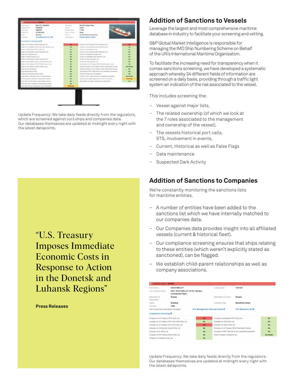

Update Frequency: We take daily feeds directly from the regulators, which are screened against ours ships and companies data. Our databases themselves are updated at midnight every night with the latest datapoints.

> "U.S. Treasury Imposes Immediate Economic Costs in Response to Action in the Donetsk and Luhansk Regions"

**Press Releases**

## **Addition of Sanctions to Vessels**

Leverage the largest and most comprehensive maritime database in industry to facilitate your screening and vetting.

S&P Global Market Intelligence is responsible for managing the IMO Ship Numbering Scheme on Behalf of the UN's International Maritime Organisation.

To facilitate the increasing need for transparency when it comes sanctions screening, we have developed a systematic approach whereby 34 different fields of information are screened on a daily basis, providing through a traffic light system an indication of the risk associated to the vessel.

This includes screening the:

- Vessel against major lists,
- The related ownership (of which we look at the 7 roles associated to the management and ownership of the vessel),
- The vessels historical port calls, STS, involvement in events,
- Current, Historical as well as False Flags
- Data maintenance
- Suspected Dark Activity

### **Addition of Sanctions to Companies**

We're constantly monitoring the sanctions lists for maritime entities.

- A number of entities have been added to the sanctions list which we have internally matched to our companies data.
- Our Companies data provides insight into all affiliated vessels (current & historical fleet).
- Our compliance screening ensures that ships relating to these entities (which weren't explicitly stated as sanctioned), can be flagged.
- We establish child-parent relationships as well as company associations.

| <b>Ghant Nights</b>                                           | BOVCOMFLOT -                                          |            | contractor Apr                   | 1381547                                                   |  |
|---------------------------------------------------------------|-------------------------------------------------------|------------|----------------------------------|-----------------------------------------------------------|--|
| Foll Company Maren                                            | PAO 'SOVCOMFLOT' (FJSC: Modern)<br>Commercial Fleet's |            |                                  |                                                           |  |
| (alcoholy of<br>Telepolitation                                | <b>Russia</b>                                         |            | Nationality of Central           | Russia:                                                   |  |
| <b>TRAFUL</b>                                                 | Esisting                                              |            | Company Type                     | <b>Beneficial Owner</b>                                   |  |
| Located                                                       | 1505                                                  |            |                                  |                                                           |  |
| This Ibrough Free authorities (Shooper):                      |                                                       |            | SCF Management Services Dubat B. | <b>BCF Margetron BA O</b>                                 |  |
| Compliance Screening O<br>to Constitution of the constitution |                                                       |            |                                  |                                                           |  |
| Company on US Treasury DRAC Entity Ltd.                       |                                                       | <b>TRE</b> |                                  | Company ok-Australian DEAT Ends Let:                      |  |
| Company set of Theature CATAC Assn. 60% Bottle Ltd.           |                                                       | ÷          |                                  | Company on Lind, Evroy Ltd.                               |  |
| Complete on LTR Treasury (1974) 204-2245 LTR.                 |                                                       | TME        |                                  | Company on Bada E19ty Ltd.                                |  |
| Company on LN describe Council Entity Ltd.                    |                                                       | ш          |                                  | Company at US Traintery DFAC Swichtings Country           |  |
| Company swift) (belts Let                                     |                                                       | men.       |                                  | Company in F&TF régis une à less-conservative principales |  |
| Company on HAI Treasury (66.6) Entire Ltd.                    |                                                       | ٠          |                                  | Farent compare completive that                            |  |
| Company per Carolina Estevision                               |                                                       | <b>NO</b>  |                                  |                                                           |  |

Update Frequency: We take daily feeds directly from the regulators. Our databases themselves are updated at midnight every night with the latest datapoints.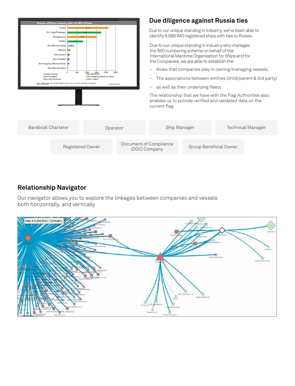

# **Relationship Navigator**

Our navigator allows you to explore the linkages between companies and vessels both horizontally, and vertically

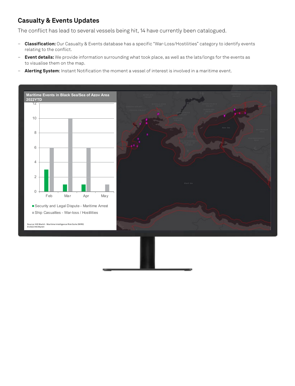# **Casualty & Events Updates**

The conflict has lead to several vessels being hit, 14 have currently been catalogued.

- **Classification:** Our Casualty & Events database has a specific "War-Loss/Hostilities" category to identify events relating to the conflict.
- **Event details:** We provide information surrounding what took place, as well as the lats/longs for the events as to visualise them on the map.
- **Alerting System**: Instant Notification the moment a vessel of interest is involved in a maritime event.

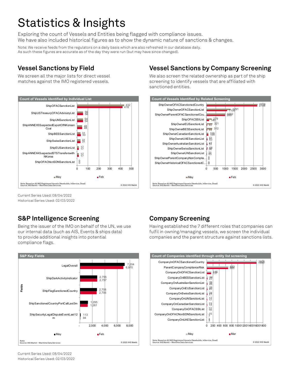# Statistics & Insights

Exploring the count of Vessels and Entities being flagged with compliance issues. We have also included historical figures as to show the dynamic nature of sanctions & changes.

Note: We receive feeds from the regulators on a daily basis which are also refreshed in our database daily. As such these figures are accurate as of the day they were run (but may have since changed).

# **Vessel Sanctions by Field**

We screen all the major lists for direct vessel matches against the IMO registered vessels.



# **Vessel Sanctions by Company Screening**

We also screen the related ownership as part of the ship screening to identify vessels that are affiliated with sanctioned entities.



Current Series Used: 08/04/2022 Historical Series Used: 02/03/2022

# **S&P Intelligence Screening**

Being the issuer of the IMO on behalf of the UN, we use our internal data (such as AIS, Events & ships data) to provide additional insights into potential compliance flags.



# **Company Screening**

Having established the 7 different roles that companies can fulfil in owning/managing vessels, we screen the individual companies and the parent structure against sanctions lists.



Current Series Used: 08/04/2022 Historical Series Used: 02/03/2022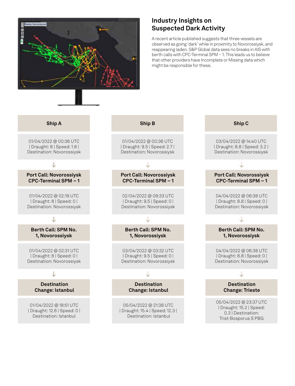

# **Industry Insights on Suspected Dark Activity**

A recent article published suggests that three vessels are observed as going 'dark' while in proximity to Novorossiysk, and reappearing laden. S&P Global data sees no breaks in AIS with berth calls with CPC-Terminal SPM – 1. This leads us to believe that other providers have Incomplete or Missing data which might be responsible for these.

#### **Ship A**

01/04/2022 @ 00:36 UTC | Draught: 8 | Speed: 1.8 | Destination: Novorossiysk

**Port Call: Novorossiysk CPC-Terminal SPM – 1**

01/04/2022 @ 02:19 UTC | Draught: 8 | Speed: 0 | Destination: Novorossiysk

#### J

**Berth Call: SPM No. 1, Novorossiysk**

01/04/2022 @ 02:31 UTC | Draught: 8 | Speed: 0 | Destination: Novorossiysk

#### J

**Destination Change: Istanbul**

01/04/2022 @ 18:51 UTC | Draught: 12.6 | Speed: 0 | Destination: Istanbul

01/04/2022 @ 00:36 UTC | Draught: 9.5 | Speed: 2.7 | Destination: Novorossiysk

**Port Call: Novorossiysk CPC-Terminal SPM – 1**

02/04/2022 @ 09:33 UTC | Draught: 9.5 | Speed: 0 | Destination: Novorossiysk

#### J

**Berth Call: SPM No. 1, Novorossiysk**

03/04/2022 @ 03:32 UTC | Draught: 9.5 | Speed: 0 | Destination: Novorossiysk

#### Л.

**Destination Change: Istanbul**

05/04/2022 @ 21:38 UTC | Draught: 15.4 | Speed: 12.3 | Destination: Istanbul

### **Ship B Ship C**

03/04/2022 @ 14:40 UTC | Draught: 8.8 | Speed: 3.2 | Destination: Novorossiysk

#### **Port Call: Novorossiysk CPC-Terminal SPM – 1**

04/04/2022 @ 06:38 UTC | Draught: 8.8 | Speed: 0 | Destination: Novorossiysk

#### J

**Berth Call: SPM No. 1, Novorossiysk**

04/04/2022 @ 06:38 UTC | Draught: 8.8 | Speed: 0 | Destination: Novorossiysk

#### Л.

#### **Destination Change: Trieste**

05/04/2022 @ 23:37 UTC | Draught: 15.2 | Speed: 0.3 | Destination: Trist-Bosporus S PBG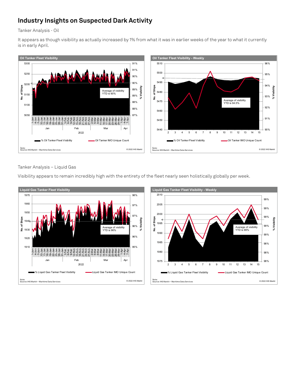# **Industry Insights on Suspected Dark Activity**

Tanker Analysis - Oil

It appears as though visibility as actually increased by 1% from what it was in earlier weeks of the year to what it currently is in early April.



Tanker Analysis – Liquid Gas

Visibility appears to remain incredibly high with the entirety of the fleet nearly seen holistically globally per week.



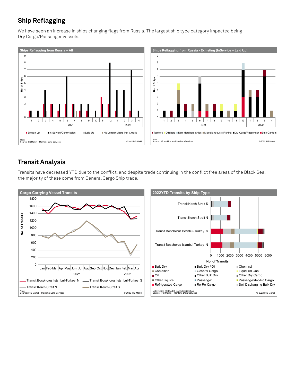# **Ship Reflagging**

We have seen an increase in ships changing flags from Russia. The largest ship type category impacted being Dry Cargo/Passenger vessels.



# **Transit Analysis**

Transits have decreased YTD due to the conflict, and despite trade continuing in the conflict free areas of the Black Sea, the majority of these come from General Cargo Ship trade.

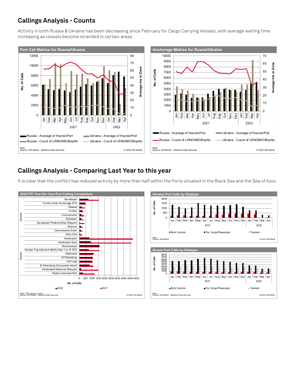# **Callings Analysis - Counts**

Activity in both Russia & Ukraine has been decreasing since February for Cargo Carrying Vessels, with average waiting time increasing as vessels become stranded in certain areas.



# **Callings Analysis - Comparing Last Year to this year**



It is clear that the conflict has reduced activity by more than half within the Ports situated in the Black Sea and the Sea of Azov.

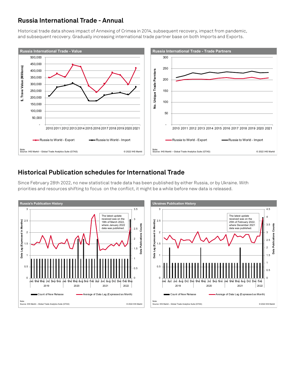# **Russia International Trade - Annual**

Historical trade data shows impact of Annexing of Crimea in 2014, subsequent recovery, impact from pandemic, and subsequent recovery. Gradually increasing international trade partner base on both Imports and Exports.



# **Historical Publication schedules for International Trade**



Since February 28th 2022, no new statistical trade data has been published by either Russia, or by Ukraine. With priorities and resources shifting to focus on the conflict, it might be a while before new data is released.

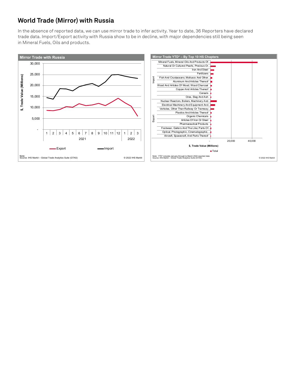# **World Trade (Mirror) with Russia**

In the absence of reported data, we can use mirror trade to infer activity. Year to date, 36 Reporters have declared trade data. Import/Export activity with Russia show to be in decline, with major dependencies still being seen in Mineral Fuels, Oils and products.

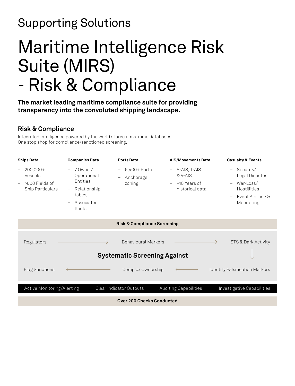# Supporting Solutions

# Maritime Intelligence Risk Suite (MIRS) - Risk & Compliance

**The market leading maritime compliance suite for providing transparency into the convoluted shipping landscape.**

# **Risk & Compliance**

Integrated Intelligence powered by the world's largest maritime databases. One stop shop for compliance/sanctioned screening.

| <b>Ships Data</b>                                                                                            | <b>Companies Data</b>                                                                                                                            | <b>Ports Data</b>                          | <b>AIS/Movements Data</b>                                    | <b>Casualty &amp; Events</b>                                                                                                                                                   |  |  |  |  |
|--------------------------------------------------------------------------------------------------------------|--------------------------------------------------------------------------------------------------------------------------------------------------|--------------------------------------------|--------------------------------------------------------------|--------------------------------------------------------------------------------------------------------------------------------------------------------------------------------|--|--|--|--|
| $200,000+$<br>$\qquad \qquad -$<br>Vessels<br>>600 Fields of<br>$\overline{\phantom{0}}$<br>Ship Particulars | $-70$ wner/<br>Operational<br>Entities<br>Relationship<br>$\overline{\phantom{m}}$<br>tables<br>Associated<br>$\overline{\phantom{0}}$<br>fleets | 6,400+ Ports<br>$-$<br>Anchorage<br>zoning | - S-AIS, T-AIS<br>& V-AIS<br>+10 Years of<br>historical data | Security/<br>$\overline{\phantom{0}}$<br>Legal Disputes<br>War-Loss/<br>$\overline{\phantom{m}}$<br>Hostillities<br>Event Alerting &<br>$\overline{\phantom{m}}$<br>Monitoring |  |  |  |  |
|                                                                                                              |                                                                                                                                                  | <b>Risk &amp; Compliance Screening</b>     |                                                              |                                                                                                                                                                                |  |  |  |  |
| Regulators                                                                                                   |                                                                                                                                                  | <b>Behavioural Markers</b>                 |                                                              | STS & Dark Activity                                                                                                                                                            |  |  |  |  |
| <b>Systematic Screening Against</b>                                                                          |                                                                                                                                                  |                                            |                                                              |                                                                                                                                                                                |  |  |  |  |
| <b>Flag Sanctions</b>                                                                                        |                                                                                                                                                  | Complex Ownership                          |                                                              | <b>Identity Falsification Markers</b>                                                                                                                                          |  |  |  |  |
| Active Monitoring/Alerting                                                                                   |                                                                                                                                                  | Clear Indicator Outputs                    | Auditing Capabilities                                        | Investigative Capabilities                                                                                                                                                     |  |  |  |  |
| <b>Over 200 Checks Conducted</b>                                                                             |                                                                                                                                                  |                                            |                                                              |                                                                                                                                                                                |  |  |  |  |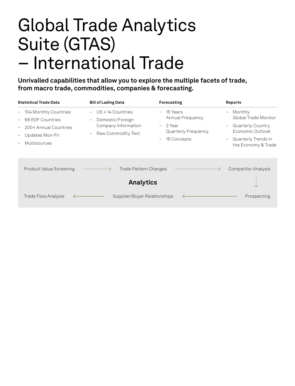# Global Trade Analytics Suite (GTAS) – International Trade

**Unrivalled capabilities that allow you to explore the multiple facets of trade, from macro trade, commodities, companies & forecasting.**

| <b>Statistical Trade Data</b>                                                                                                       | <b>Bill of Lading Data</b>                                                                                       | Forecasting                                                                                                            | Reports                                                                                                                                                                                             |
|-------------------------------------------------------------------------------------------------------------------------------------|------------------------------------------------------------------------------------------------------------------|------------------------------------------------------------------------------------------------------------------------|-----------------------------------------------------------------------------------------------------------------------------------------------------------------------------------------------------|
| 104 Monthly Countries<br>$ \,$<br>68 EDF Countries<br>200+ Annual Countries<br>Updates Mon-Fri<br>$\qquad \qquad -$<br>Multisources | $US + 14$ Countries<br>$\overline{\phantom{m}}$<br>Domestic/Foreign<br>Company Information<br>Raw Commodity Text | 15 Years<br>$-$<br>Annual Frequency<br>2 Year<br>$-$<br><b>Quarterly Frequency</b><br>16 Concepts<br>$\qquad \qquad -$ | Monthly<br>$\overline{\phantom{m}}$<br>Global Trade Monitor<br>Quarterly Country<br>$\overline{\phantom{m}}$<br>Economic Outlook<br>Quarterly Trends in<br>$\qquad \qquad -$<br>the Economy & Trade |
| <b>Product Value Screening</b>                                                                                                      | Trade Pattern Changes<br><b>Analytics</b>                                                                        |                                                                                                                        | <b>Competitor Analysis</b>                                                                                                                                                                          |
| Trade Flow Analysis                                                                                                                 | Supplier/Buyer Relationships                                                                                     |                                                                                                                        | Prospecting                                                                                                                                                                                         |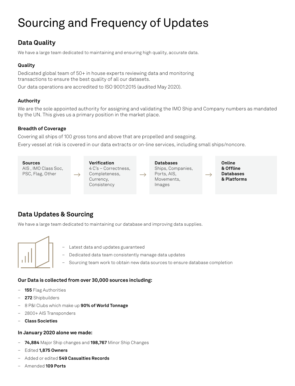# Sourcing and Frequency of Updates

# **Data Quality**

We have a large team dedicated to maintaining and ensuring high quality, accurate data.

### **Quality**

Dedicated global team of 50+ in house experts reviewing data and monitoring transactions to ensure the best quality of all our datasets.

Our data operations are accredited to ISO 9001:2015 (audited May 2020).

### **Authority**

We are the sole appointed authority for assigning and validating the IMO Ship and Company numbers as mandated by the UN. This gives us a primary position in the market place.

#### **Breadth of Coverage**

Covering all ships of 100 gross tons and above that are propelled and seagoing.

Every vessel at risk is covered in our data extracts or on-line services, including small ships/noncore.



# **Data Updates & Sourcing**

We have a large team dedicated to maintaining our database and improving data supplies.



- Latest data and updates guaranteed
- Dedicated data team consistently manage data updates
- Sourcing team work to obtain new data sources to ensure database completion

#### **Our Data is collected from over 30,000 sources including:**

- **155** Flag Authorities
- **272** Shipbuilders
- 8 P&I Clubs which make up **90% of World Tonnage**
- 2800+ AIS Transponders
- **Class Societies**

#### **In January 2020 alone we made:**

- **74,884** Major Ship changes and **198,767** Minor Ship Changes
- Edited **1,875 Owners**
- Added or edited **549 Casualties Records**
- Amended **109 Ports**